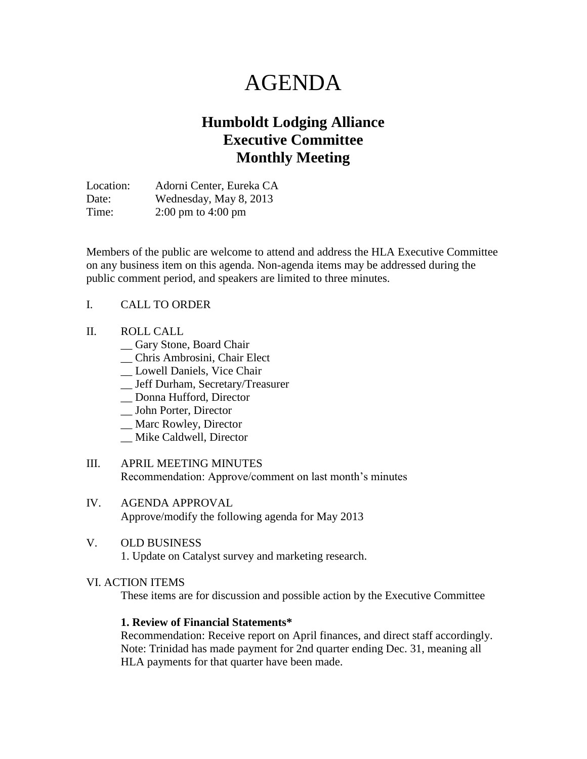# AGENDA

# **Humboldt Lodging Alliance Executive Committee Monthly Meeting**

Location: Adorni Center, Eureka CA Date: Wednesday, May 8, 2013 Time: 2:00 pm to 4:00 pm

Members of the public are welcome to attend and address the HLA Executive Committee on any business item on this agenda. Non-agenda items may be addressed during the public comment period, and speakers are limited to three minutes.

#### I. CALL TO ORDER

- II. ROLL CALL
	- \_\_ Gary Stone, Board Chair
	- \_\_ Chris Ambrosini, Chair Elect
	- \_\_ Lowell Daniels, Vice Chair
	- \_\_ Jeff Durham, Secretary/Treasurer
	- \_\_ Donna Hufford, Director
	- \_\_ John Porter, Director
	- \_\_ Marc Rowley, Director
	- \_\_ Mike Caldwell, Director
- III. APRIL MEETING MINUTES Recommendation: Approve/comment on last month's minutes
- IV. AGENDA APPROVAL Approve/modify the following agenda for May 2013

#### V. OLD BUSINESS

1. Update on Catalyst survey and marketing research.

#### VI. ACTION ITEMS

These items are for discussion and possible action by the Executive Committee

#### **1. Review of Financial Statements\***

Recommendation: Receive report on April finances, and direct staff accordingly. Note: Trinidad has made payment for 2nd quarter ending Dec. 31, meaning all HLA payments for that quarter have been made.